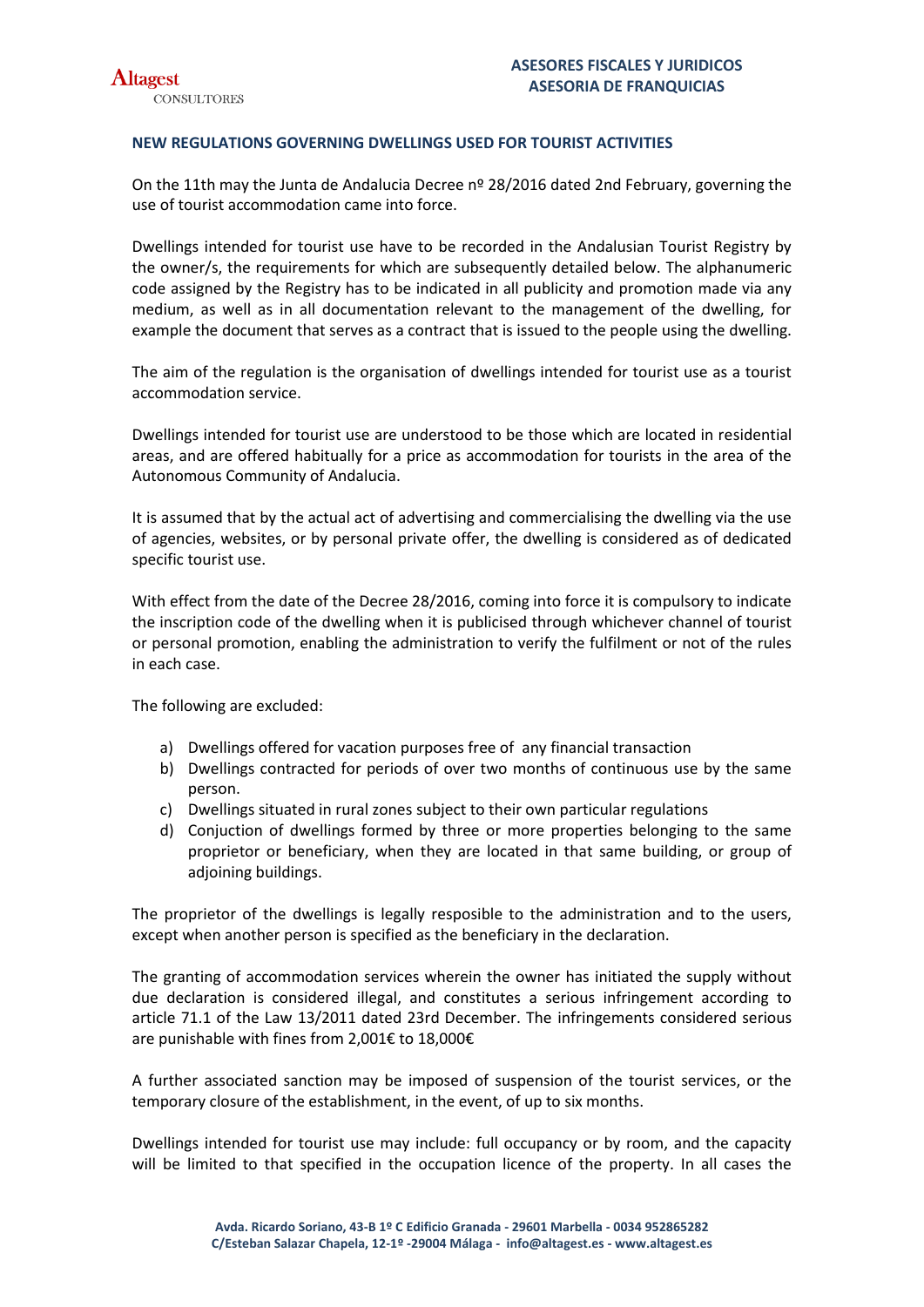## **NEW REGULATIONS GOVERNING DWELLINGS USED FOR TOURIST ACTIVITIES**

On the 11th may the Junta de Andalucia Decree nº 28/2016 dated 2nd February, governing the use of tourist accommodation came into force.

Dwellings intended for tourist use have to be recorded in the Andalusian Tourist Registry by the owner/s, the requirements for which are subsequently detailed below. The alphanumeric code assigned by the Registry has to be indicated in all publicity and promotion made via any medium, as well as in all documentation relevant to the management of the dwelling, for example the document that serves as a contract that is issued to the people using the dwelling.

The aim of the regulation is the organisation of dwellings intended for tourist use as a tourist accommodation service.

Dwellings intended for tourist use are understood to be those which are located in residential areas, and are offered habitually for a price as accommodation for tourists in the area of the Autonomous Community of Andalucia.

It is assumed that by the actual act of advertising and commercialising the dwelling via the use of agencies, websites, or by personal private offer, the dwelling is considered as of dedicated specific tourist use.

With effect from the date of the Decree 28/2016, coming into force it is compulsory to indicate the inscription code of the dwelling when it is publicised through whichever channel of tourist or personal promotion, enabling the administration to verify the fulfilment or not of the rules in each case.

The following are excluded:

- a) Dwellings offered for vacation purposes free of any financial transaction
- b) Dwellings contracted for periods of over two months of continuous use by the same person.
- c) Dwellings situated in rural zones subject to their own particular regulations
- d) Conjuction of dwellings formed by three or more properties belonging to the same proprietor or beneficiary, when they are located in that same building, or group of adjoining buildings.

The proprietor of the dwellings is legally resposible to the administration and to the users, except when another person is specified as the beneficiary in the declaration.

The granting of accommodation services wherein the owner has initiated the supply without due declaration is considered illegal, and constitutes a serious infringement according to article 71.1 of the Law 13/2011 dated 23rd December. The infringements considered serious are punishable with fines from 2,001€ to 18,000€

A further associated sanction may be imposed of suspension of the tourist services, or the temporary closure of the establishment, in the event, of up to six months.

Dwellings intended for tourist use may include: full occupancy or by room, and the capacity will be limited to that specified in the occupation licence of the property. In all cases the